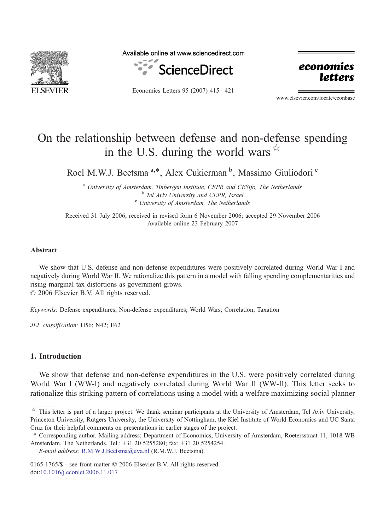

Available online at www.sciencedirect.com



Economics Letters 95 (2007) 415–421



www.elsevier.com/locate/econbase

# On the relationship between defense and non-defense spending in the U.S. during the world wars  $\overline{x}$

Roel M.W.J. Beetsma<sup>a,\*</sup>, Alex Cukierman<sup>b</sup>, Massimo Giuliodori<sup>c</sup>

<sup>a</sup> University of Amsterdam, Tinbergen Institute, CEPR and CESifo, The Netherlands<br><sup>b</sup> Tel Aviv University and CEPR, Israel<br><sup>c</sup> University of Amsterdam, The Netherlands

Received 31 July 2006; received in revised form 6 November 2006; accepted 29 November 2006 Available online 23 February 2007

#### Abstract

We show that U.S. defense and non-defense expenditures were positively correlated during World War I and negatively during World War II. We rationalize this pattern in a model with falling spending complementarities and rising marginal tax distortions as government grows. © 2006 Elsevier B.V. All rights reserved.

Keywords: Defense expenditures; Non-defense expenditures; World Wars; Correlation; Taxation

JEL classification: H56; N42; E62

## 1. Introduction

We show that defense and non-defense expenditures in the U.S. were positively correlated during World War I (WW-I) and negatively correlated during World War II (WW-II). This letter seeks to rationalize this striking pattern of correlations using a model with a welfare maximizing social planner

 $\overrightarrow{r}$  This letter is part of a larger project. We thank seminar participants at the University of Amsterdam, Tel Aviv University, Princeton University, Rutgers University, the University of Nottingham, the Kiel Institute of World Economics and UC Santa Cruz for their helpful comments on presentations in earlier stages of the project.

<sup>⁎</sup> Corresponding author. Mailing address: Department of Economics, University of Amsterdam, Roetersstraat 11, 1018 WB Amsterdam, The Netherlands. Tel.: +31 20 5255280; fax: +31 20 5254254.

E-mail address: [R.M.W.J.Beetsma@uva.nl](mailto:R.M.W.J.Beetsma@uva.nl) (R.M.W.J. Beetsma).

<sup>0165-1765/\$ -</sup> see front matter © 2006 Elsevier B.V. All rights reserved. doi[:10.1016/j.econlet.2006.11.017](http://dx.doi.org/10.1016/j.econlet.2006.11.017)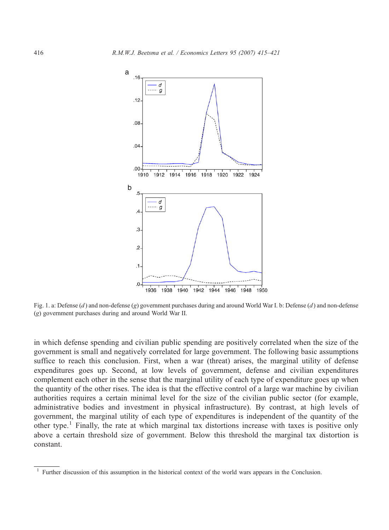<span id="page-1-0"></span>

Fig. 1. a: Defense  $(d)$  and non-defense  $(g)$  government purchases during and around World War I. b: Defense  $(d)$  and non-defense (g) government purchases during and around World War II.

in which defense spending and civilian public spending are positively correlated when the size of the government is small and negatively correlated for large government. The following basic assumptions suffice to reach this conclusion. First, when a war (threat) arises, the marginal utility of defense expenditures goes up. Second, at low levels of government, defense and civilian expenditures complement each other in the sense that the marginal utility of each type of expenditure goes up when the quantity of the other rises. The idea is that the effective control of a large war machine by civilian authorities requires a certain minimal level for the size of the civilian public sector (for example, administrative bodies and investment in physical infrastructure). By contrast, at high levels of government, the marginal utility of each type of expenditures is independent of the quantity of the other type.<sup>1</sup> Finally, the rate at which marginal tax distortions increase with taxes is positive only above a certain threshold size of government. Below this threshold the marginal tax distortion is constant.

<sup>1</sup> Further discussion of this assumption in the historical context of the world wars appears in the Conclusion.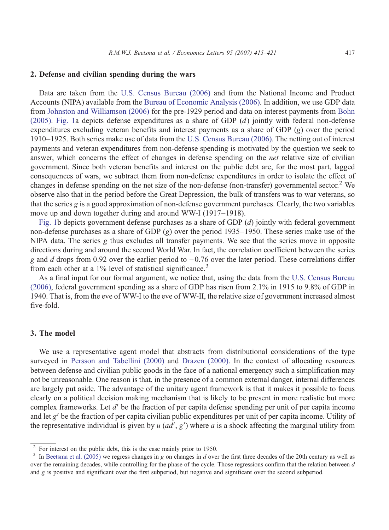#### 2. Defense and civilian spending during the wars

Data are taken from the [U.S. Census Bureau \(2006\)](#page-6-0) and from the National Income and Product Accounts (NIPA) available from the [Bureau of Economic Analysis \(2006\).](#page-6-0) In addition, we use GDP data from [Johnston and Williamson \(2006\)](#page-6-0) for the pre-1929 period and data on interest payments from [Bohn](#page-6-0) [\(2005\)](#page-6-0). [Fig. 1a](#page-1-0) depicts defense expenditures as a share of GDP  $(d)$  jointly with federal non-defense expenditures excluding veteran benefits and interest payments as a share of GDP (g) over the period 1910–1925. Both series make use of data from the [U.S. Census Bureau \(2006\)](#page-6-0). The netting out of interest payments and veteran expenditures from non-defense spending is motivated by the question we seek to answer, which concerns the effect of changes in defense spending on the *net* relative size of civilian government. Since both veteran benefits and interest on the public debt are, for the most part, lagged consequences of wars, we subtract them from non-defense expenditures in order to isolate the effect of changes in defense spending on the net size of the non-defense (non-transfer) governmental sector.<sup>2</sup> We observe also that in the period before the Great Depression, the bulk of transfers was to war veterans, so that the series g is a good approximation of non-defense government purchases. Clearly, the two variables move up and down together during and around WW-I (1917–1918).

[Fig. 1](#page-1-0)b depicts government defense purchases as a share of GDP  $(d)$  jointly with federal government non-defense purchases as a share of GDP (g) over the period 1935–1950. These series make use of the NIPA data. The series g thus excludes all transfer payments. We see that the series move in opposite directions during and around the second World War. In fact, the correlation coefficient between the series g and d drops from 0.92 over the earlier period to −0.76 over the later period. These correlations differ from each other at a  $1\%$  level of statistical significance.<sup>3</sup>

As a final input for our formal argument, we notice that, using the data from the [U.S. Census Bureau](#page-6-0) [\(2006\)](#page-6-0), federal government spending as a share of GDP has risen from 2.1% in 1915 to 9.8% of GDP in 1940. That is, from the eve of WW-I to the eve of WW-II, the relative size of government increased almost five-fold.

#### 3. The model

We use a representative agent model that abstracts from distributional considerations of the type surveyed in [Persson and Tabellini \(2000\)](#page-6-0) and [Drazen \(2000\).](#page-6-0) In the context of allocating resources between defense and civilian public goods in the face of a national emergency such a simplification may not be unreasonable. One reason is that, in the presence of a common external danger, internal differences are largely put aside. The advantage of the unitary agent framework is that it makes it possible to focus clearly on a political decision making mechanism that is likely to be present in more realistic but more complex frameworks. Let d′ be the fraction of per capita defense spending per unit of per capita income and let g′ be the fraction of per capita civilian public expenditures per unit of per capita income. Utility of the representative individual is given by  $u$  ( $ad'$ ,  $g'$ ) where a is a shock affecting the marginal utility from

<sup>&</sup>lt;sup>2</sup> For interest on the public debt, this is the case mainly prior to 1950.<br><sup>3</sup> In [Beetsma et al. \(2005\)](#page-6-0) we regress changes in g on changes in d over the first three decades of the 20th century as well as over the remaining decades, while controlling for the phase of the cycle. Those regressions confirm that the relation between  $d$ and g is positive and significant over the first subperiod, but negative and significant over the second subperiod.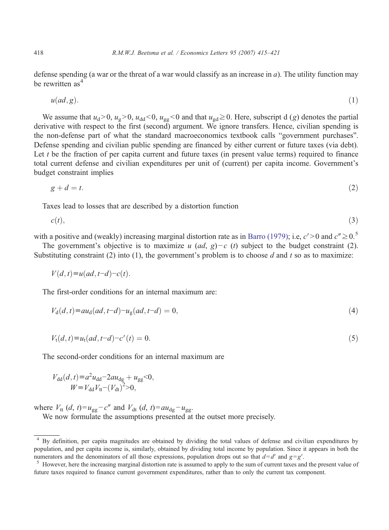defense spending (a war or the threat of a war would classify as an increase in  $a$ ). The utility function may be rewritten as<sup>4</sup>

$$
u(ad,g).
$$
 (1)

We assume that  $u_d>0$ ,  $u_g>0$ ,  $u_{dd}<0$ ,  $u_{gg}<0$  and that  $u_{gd}\geq0$ . Here, subscript d (g) denotes the partial derivative with respect to the first (second) argument. We ignore transfers. Hence, civilian spending is the non-defense part of what the standard macroeconomics textbook calls "government purchases". Defense spending and civilian public spending are financed by either current or future taxes (via debt). Let  $t$  be the fraction of per capita current and future taxes (in present value terms) required to finance total current defense and civilian expenditures per unit of (current) per capita income. Government's budget constraint implies

$$
g + d = t.\tag{2}
$$

Taxes lead to losses that are described by a distortion function

$$
c(t),\tag{3}
$$

with a positive and (weakly) increasing marginal distortion rate as in [Barro \(1979\)](#page-6-0); i.e,  $c' > 0$  and  $c'' \ge 0.5$ 

The government's objective is to maximize u (ad, g)−c (t) subject to the budget constraint (2). Substituting constraint (2) into (1), the government's problem is to choose  $d$  and  $t$  so as to maximize:

$$
V(d,t) \equiv u(ad, t-d) - c(t).
$$

The first-order conditions for an internal maximum are:

$$
V_{d}(d,t) \equiv au_{d}(ad,t-d) - u_{g}(ad,t-d) = 0,
$$
\n(4)

$$
V_{t}(d,t) \equiv u_{t}(ad,t-d) - c'(t) = 0.
$$
\n(5)

The second-order conditions for an internal maximum are

$$
V_{\rm dd}(d, t) = a^2 u_{\rm dd} - 2au_{\rm dg} + u_{\rm gg} < 0,
$$
  

$$
W = V_{\rm dd} V_{\rm tt} - (V_{\rm dt})^2 > 0,
$$

where  $V_{tt}$  (d, t)= $u_{gg}$ -c" and  $V_{dt}$  (d, t)= $au_{dg}$ - $u_{gg}$ .

We now formulate the assumptions presented at the outset more precisely.

<sup>4</sup> By definition, per capita magnitudes are obtained by dividing the total values of defense and civilian expenditures by population, and per capita income is, similarly, obtained by dividing total income by population. Since it appears in both the numerators and the denominators of all those expressions, population drops out so that  $d=d'$  and  $g=g'$ .<br><sup>5</sup> However, here the increasing marginal distortion rate is assumed to apply to the sum of current taxes and the pre

future taxes required to finance current government expenditures, rather than to only the current tax component.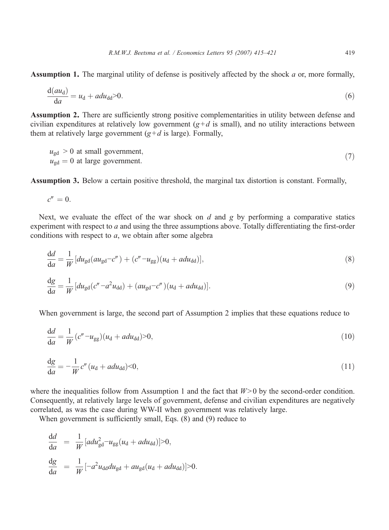Assumption 1. The marginal utility of defense is positively affected by the shock a or, more formally,

$$
\frac{d(au_d)}{da} = u_d + adu_{dd} > 0.
$$
 (6)

Assumption 2. There are sufficiently strong positive complementarities in utility between defense and civilian expenditures at relatively low government  $(g+d \text{ is small})$ , and no utility interactions between them at relatively large government  $(g+d)$  is large). Formally,

$$
u_{\text{gd}} > 0 \text{ at small government,}
$$
  
\n
$$
u_{\text{gd}} = 0 \text{ at large government.}
$$
\n(7)

Assumption 3. Below a certain positive threshold, the marginal tax distortion is constant. Formally,

$$
c''=0.
$$

Next, we evaluate the effect of the war shock on  $d$  and  $g$  by performing a comparative statics experiment with respect to a and using the three assumptions above. Totally differentiating the first-order conditions with respect to  $a$ , we obtain after some algebra

$$
\frac{\mathrm{d}d}{\mathrm{d}a} = \frac{1}{W} \left[ du_{\mathrm{gd}} (au_{\mathrm{gd}} - c'') + (c'' - u_{\mathrm{gg}}) (u_{\mathrm{d}} + adu_{\mathrm{dd}}) \right],\tag{8}
$$

$$
\frac{\mathrm{d}g}{\mathrm{d}a} = \frac{1}{W} \left[ du_{\mathrm{gd}} (c'' - a^2 u_{\mathrm{dd}}) + (au_{\mathrm{gd}} - c'') (u_{\mathrm{d}} + ad u_{\mathrm{dd}}) \right].\tag{9}
$$

When government is large, the second part of Assumption 2 implies that these equations reduce to

$$
\frac{\mathrm{d}d}{\mathrm{d}a} = \frac{1}{W} (c'' - u_{gg})(u_{\mathrm{d}} + adu_{\mathrm{dd}}) > 0,\tag{10}
$$

$$
\frac{\mathrm{d}g}{\mathrm{d}a} = -\frac{1}{W}c''(u_{\mathrm{d}} + adu_{\mathrm{dd}}) < 0,\tag{11}
$$

where the inequalities follow from Assumption 1 and the fact that  $W>0$  by the second-order condition. Consequently, at relatively large levels of government, defense and civilian expenditures are negatively correlated, as was the case during WW-II when government was relatively large.

When government is sufficiently small, Eqs. (8) and (9) reduce to

$$
\frac{dd}{da} = \frac{1}{W} [a du_{gd}^2 - u_{gg}(u_d + adu_{dd})] > 0,
$$
  
\n
$$
\frac{dg}{da} = \frac{1}{W} [-a^2 u_{dd} du_{gd} + au_{gd}(u_d + adu_{dd})] > 0.
$$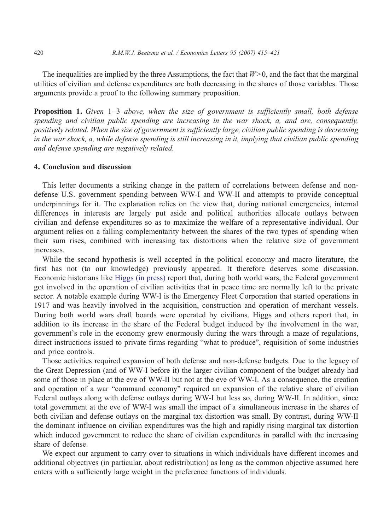The inequalities are implied by the three Assumptions, the fact that  $W>0$ , and the fact that the marginal utilities of civilian and defense expenditures are both decreasing in the shares of those variables. Those arguments provide a proof to the following summary proposition.

Proposition 1. Given 1-3 above, when the size of government is sufficiently small, both defense spending and civilian public spending are increasing in the war shock, a, and are, consequently, positively related. When the size of government is sufficiently large, civilian public spending is decreasing in the war shock, a, while defense spending is still increasing in it, implying that civilian public spending and defense spending are negatively related.

#### 4. Conclusion and discussion

This letter documents a striking change in the pattern of correlations between defense and nondefense U.S. government spending between WW-I and WW-II and attempts to provide conceptual underpinnings for it. The explanation relies on the view that, during national emergencies, internal differences in interests are largely put aside and political authorities allocate outlays between civilian and defense expenditures so as to maximize the welfare of a representative individual. Our argument relies on a falling complementarity between the shares of the two types of spending when their sum rises, combined with increasing tax distortions when the relative size of government increases.

While the second hypothesis is well accepted in the political economy and macro literature, the first has not (to our knowledge) previously appeared. It therefore deserves some discussion. Economic historians like [Higgs \(in press\)](#page-6-0) report that, during both world wars, the Federal government got involved in the operation of civilian activities that in peace time are normally left to the private sector. A notable example during WW-I is the Emergency Fleet Corporation that started operations in 1917 and was heavily involved in the acquisition, construction and operation of merchant vessels. During both world wars draft boards were operated by civilians. Higgs and others report that, in addition to its increase in the share of the Federal budget induced by the involvement in the war, government's role in the economy grew enormously during the wars through a maze of regulations, direct instructions issued to private firms regarding "what to produce", requisition of some industries and price controls.

Those activities required expansion of both defense and non-defense budgets. Due to the legacy of the Great Depression (and of WW-I before it) the larger civilian component of the budget already had some of those in place at the eve of WW-II but not at the eve of WW-I. As a consequence, the creation and operation of a war "command economy" required an expansion of the relative share of civilian Federal outlays along with defense outlays during WW-I but less so, during WW-II. In addition, since total government at the eve of WW-I was small the impact of a simultaneous increase in the shares of both civilian and defense outlays on the marginal tax distortion was small. By contrast, during WW-II the dominant influence on civilian expenditures was the high and rapidly rising marginal tax distortion which induced government to reduce the share of civilian expenditures in parallel with the increasing share of defense.

We expect our argument to carry over to situations in which individuals have different incomes and additional objectives (in particular, about redistribution) as long as the common objective assumed here enters with a sufficiently large weight in the preference functions of individuals.